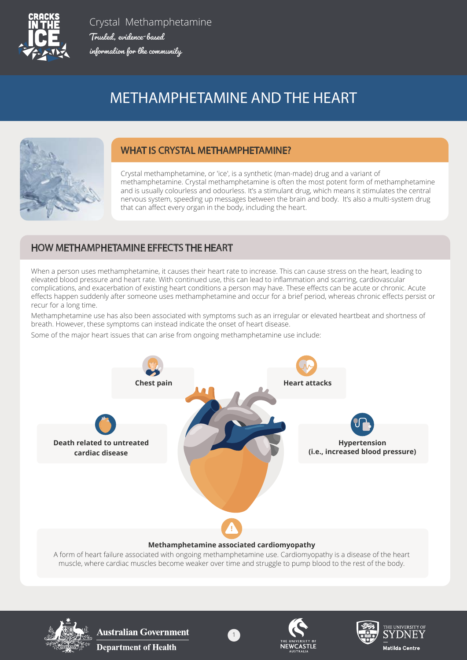

Crystal Methamphetamine Trusted, evidence-based Trusted, evidence-based information for the community information for the community

# METHAMPHETAMINE AND THE HEART



### WHAT IS CRYSTAL METHAMPHETAMINE?

Crystal methamphetamine, or 'ice', is a synthetic (man-made) drug and a variant of methamphetamine. Crystal methamphetamine is often the most potent form of methamphetamine and is usually colourless and odourless. It's a stimulant drug, which means it stimulates the central nervous system, speeding up messages between the brain and body. It's also a multi-system drug that can affect every organ in the body, including the heart.

# HOW METHAMPHETAMINE EFFECTS THE HEART

When a person uses methamphetamine, it causes their heart rate to increase. This can cause stress on the heart, leading to elevated blood pressure and heart rate. With continued use, this can lead to inflammation and scarring, cardiovascular complications, and exacerbation of existing heart conditions a person may have. These effects can be acute or chronic. Acute effects happen suddenly after someone uses methamphetamine and occur for a brief period, whereas chronic effects persist or recur for a long time.

Methamphetamine use has also been associated with symptoms such as an irregular or elevated heartbeat and shortness of breath. However, these symptoms can instead indicate the onset of heart disease.

Some of the major heart issues that can arise from ongoing methamphetamine use include:



#### **Methamphetamine associated cardiomyopathy**

A form of heart failure associated with ongoing methamphetamine use. Cardiomyopathy is a disease of the heart muscle, where cardiac muscles become weaker over time and struggle to pump blood to the rest of the body.

1



**Australian Government Department of Health** 





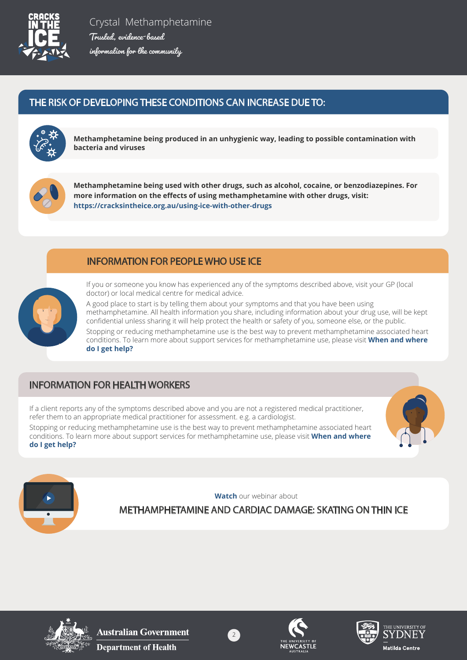

# THE RISK OF DEVELOPING THESE CONDITIONS CAN INCREASE DUE TO:



**Methamphetamine being produced in an unhygienic way, leading to possible contamination with bacteria and viruses**



**Methamphetamine being used with other drugs, such as alcohol, cocaine, or benzodiazepines. For more information on the effects of using methamphetamine with other drugs, visit: https://cracksintheice.org.au/using-ice-with-other-drugs**

# INFORMATION FOR PEOPLE WHO USE ICE



If you or someone you know has experienced any of the symptoms described above, visit your GP (local doctor) or local medical centre for medical advice.

A good place to start is by telling them about your symptoms and that you have been using methamphetamine. All health information you share, including information about your drug use, will be kept confidential unless sharing it will help protect the health or safety of you, someone else, or the public.

Stopping or reducing methamphetamine use is the best way to prevent methamphetamine associated heart conditions. To learn more about support services for methamphetamine use, please visit **When and where do I get help?**

# INFORMATION FOR HEALTH WORKERS

If a client reports any of the symptoms described above and you are not a registered medical practitioner, refer them to an appropriate medical practitioner for assessment. e.g. a cardiologist.

Stopping or reducing methamphetamine use is the best way to prevent methamphetamine associated heart conditions. To learn more about support services for methamphetamine use, please visit **[When and where](https://cracksintheice.org.au/when-and-where-do-i-get-help)  [do I get help?](https://cracksintheice.org.au/when-and-where-do-i-get-help)**





**Watch** our webinar about

[METHAMPHETAMINE AND CARDIAC DAMAGE: SKATING ON THIN ICE](https://cracksintheice.org.au/community-toolkit/webinars/cardiac-damage) 



**Australian Government Department of Health**